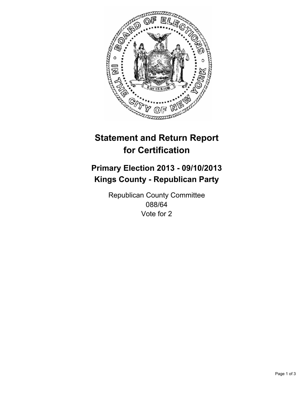

# **Statement and Return Report for Certification**

# **Primary Election 2013 - 09/10/2013 Kings County - Republican Party**

Republican County Committee 088/64 Vote for 2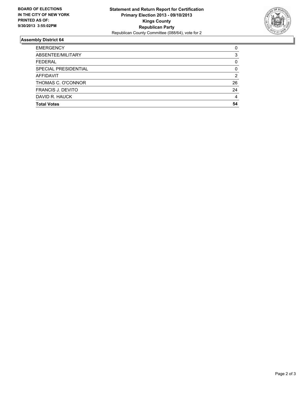

## **Assembly District 64**

| <b>EMERGENCY</b>         | 0  |
|--------------------------|----|
| ABSENTEE/MILITARY        | 3  |
| <b>FEDERAL</b>           | 0  |
| SPECIAL PRESIDENTIAL     | 0  |
| <b>AFFIDAVIT</b>         | 2  |
| THOMAS C. O'CONNOR       | 26 |
| <b>FRANCIS J. DEVITO</b> | 24 |
| DAVID R. HAUCK           | 4  |
| <b>Total Votes</b>       | 54 |